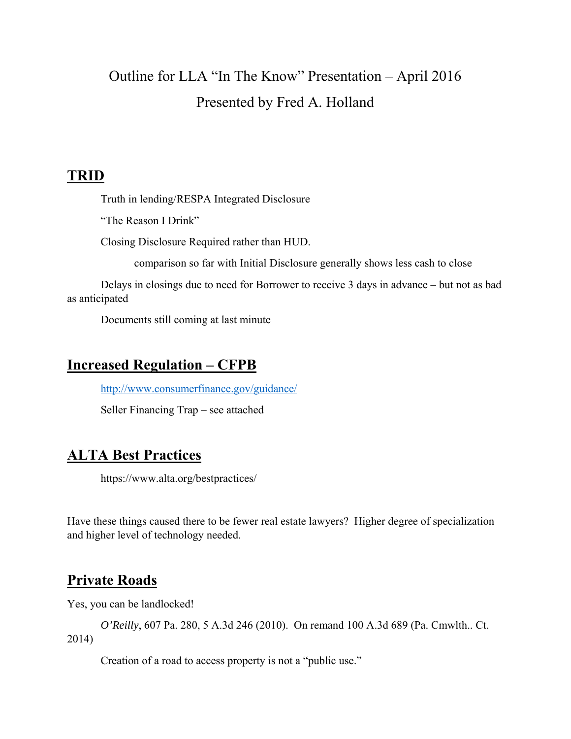# Outline for LLA "In The Know" Presentation – April 2016 Presented by Fred A. Holland

### **TRID**

Truth in lending/RESPA Integrated Disclosure

"The Reason I Drink"

Closing Disclosure Required rather than HUD.

comparison so far with Initial Disclosure generally shows less cash to close

 Delays in closings due to need for Borrower to receive 3 days in advance – but not as bad as anticipated

Documents still coming at last minute

# **Increased Regulation – CFPB**

http://www.consumerfinance.gov/guidance/

Seller Financing Trap – see attached

## **ALTA Best Practices**

https://www.alta.org/bestpractices/

Have these things caused there to be fewer real estate lawyers? Higher degree of specialization and higher level of technology needed.

## **Private Roads**

Yes, you can be landlocked!

*O'Reilly*, 607 Pa. 280, 5 A.3d 246 (2010). On remand 100 A.3d 689 (Pa. Cmwlth.. Ct. 2014)

Creation of a road to access property is not a "public use."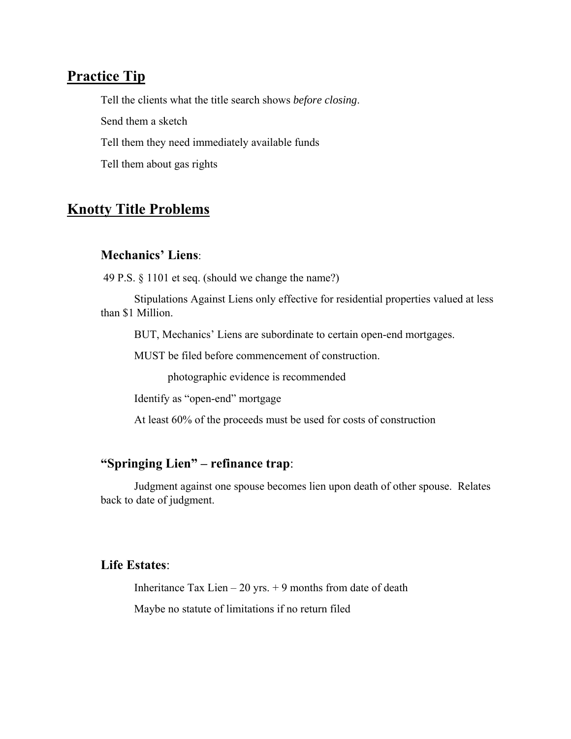### **Practice Tip**

Tell the clients what the title search shows *before closing*.

Send them a sketch

Tell them they need immediately available funds

Tell them about gas rights

### **Knotty Title Problems**

#### **Mechanics' Liens**:

49 P.S. § 1101 et seq. (should we change the name?)

Stipulations Against Liens only effective for residential properties valued at less than \$1 Million.

BUT, Mechanics' Liens are subordinate to certain open-end mortgages.

MUST be filed before commencement of construction.

photographic evidence is recommended

Identify as "open-end" mortgage

At least 60% of the proceeds must be used for costs of construction

### **"Springing Lien" – refinance trap**:

Judgment against one spouse becomes lien upon death of other spouse. Relates back to date of judgment.

#### **Life Estates**:

Inheritance Tax Lien – 20 yrs.  $+$  9 months from date of death

Maybe no statute of limitations if no return filed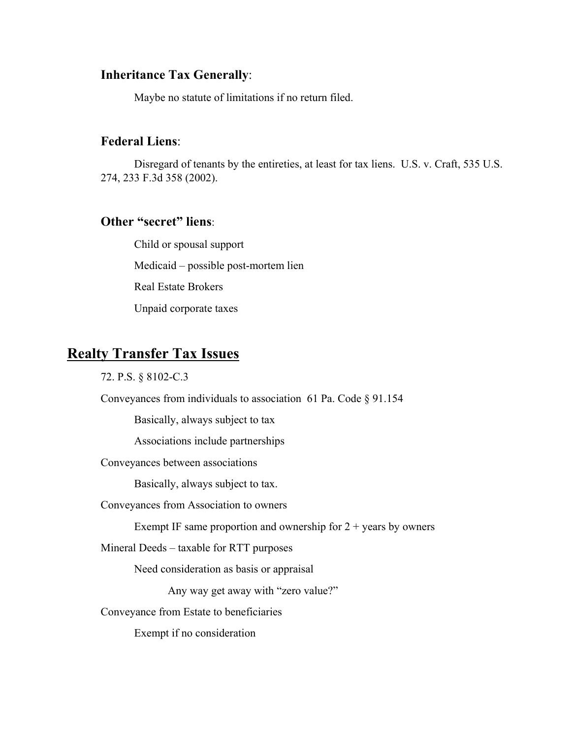### **Inheritance Tax Generally**:

Maybe no statute of limitations if no return filed.

#### **Federal Liens**:

Disregard of tenants by the entireties, at least for tax liens. U.S. v. Craft, 535 U.S. 274, 233 F.3d 358 (2002).

### **Other "secret" liens**:

 Child or spousal support Medicaid – possible post-mortem lien Real Estate Brokers Unpaid corporate taxes

### **Realty Transfer Tax Issues**

72. P.S. § 8102-C.3

Conveyances from individuals to association 61 Pa. Code § 91.154

Basically, always subject to tax

Associations include partnerships

Conveyances between associations

Basically, always subject to tax.

Conveyances from Association to owners

Exempt IF same proportion and ownership for  $2 + \text{years}$  by owners

Mineral Deeds – taxable for RTT purposes

Need consideration as basis or appraisal

Any way get away with "zero value?"

Conveyance from Estate to beneficiaries

Exempt if no consideration